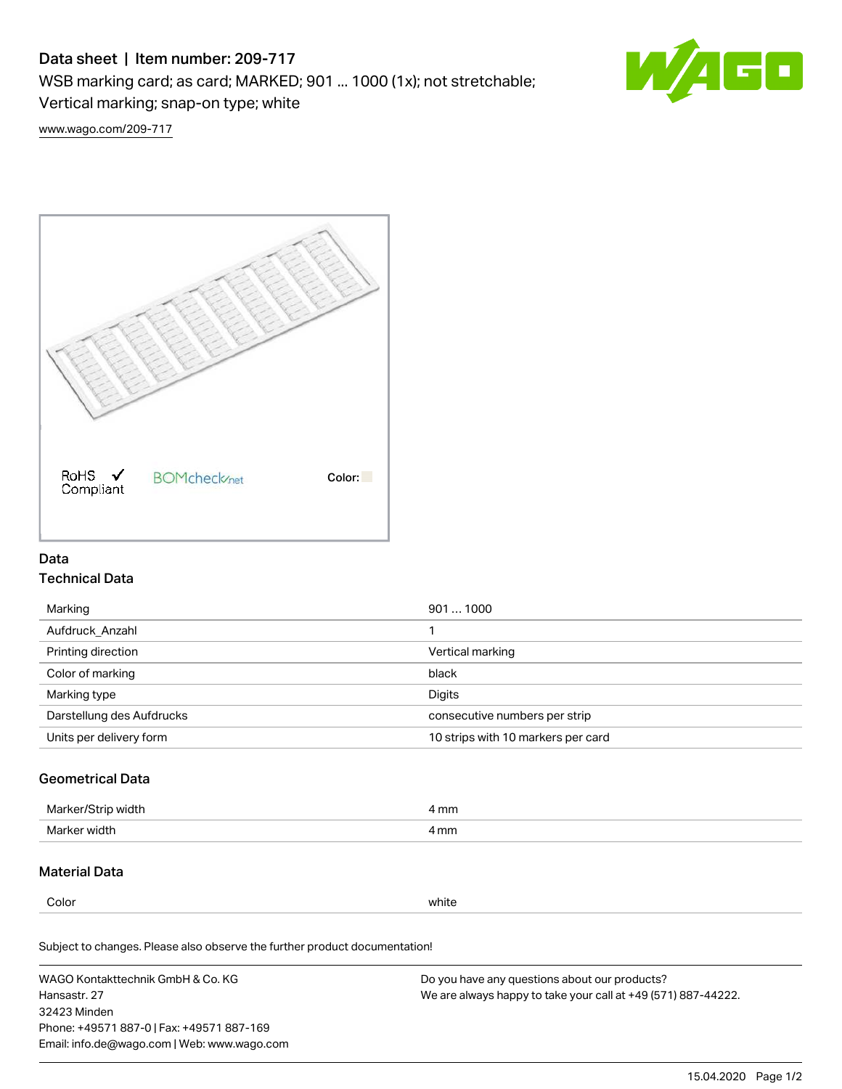# Data sheet | Item number: 209-717

WSB marking card; as card; MARKED; 901 ... 1000 (1x); not stretchable;

Vertical marking; snap-on type; white

60

[www.wago.com/209-717](http://www.wago.com/209-717)



## Data Technical Data

| 9011000                            |
|------------------------------------|
|                                    |
| Vertical marking                   |
| black                              |
| Digits                             |
| consecutive numbers per strip      |
| 10 strips with 10 markers per card |
|                                    |

## Geometrical Data

| Ma<br>width    | 4 mm |
|----------------|------|
| Marke<br>widtł | 4 mm |

### Material Data

Color white

Subject to changes. Please also observe the further product documentation!

WAGO Kontakttechnik GmbH & Co. KG Hansastr. 27 32423 Minden Phone: +49571 887-0 | Fax: +49571 887-169 Email: info.de@wago.com | Web: www.wago.com Do you have any questions about our products? We are always happy to take your call at +49 (571) 887-44222.